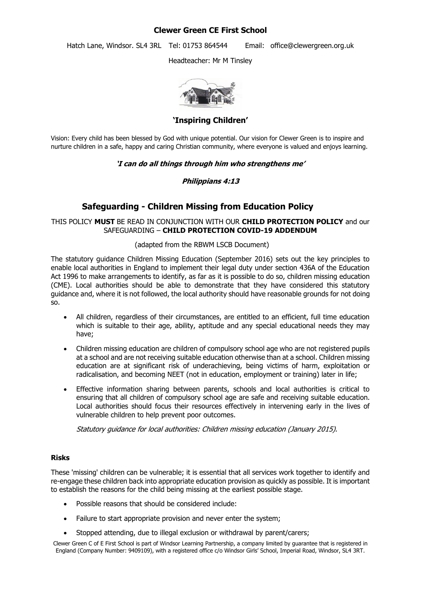# **Clewer Green CE First School**

Hatch Lane, Windsor. SL4 3RL Tel: 01753 864544 Email: office@clewergreen.org.uk

Headteacher: Mr M Tinsley



**'Inspiring Children'**

Vision: Every child has been blessed by God with unique potential. Our vision for Clewer Green is to inspire and nurture children in a safe, happy and caring Christian community, where everyone is valued and enjoys learning.

## **'I can do all things through him who strengthens me'**

## **Philippians 4:13**

# **Safeguarding - Children Missing from Education Policy**

### THIS POLICY **MUST** BE READ IN CONJUNCTION WITH OUR **CHILD PROTECTION POLICY** and our SAFEGUARDING – **CHILD PROTECTION COVID-19 ADDENDUM**

#### (adapted from the RBWM LSCB Document)

The statutory guidance Children Missing Education (September 2016) sets out the key principles to enable local authorities in England to implement their legal duty under section 436A of the Education Act 1996 to make arrangements to identify, as far as it is possible to do so, children missing education (CME). Local authorities should be able to demonstrate that they have considered this statutory guidance and, where it is not followed, the local authority should have reasonable grounds for not doing so.

- All children, regardless of their circumstances, are entitled to an efficient, full time education which is suitable to their age, ability, aptitude and any special educational needs they may have;
- Children missing education are children of compulsory school age who are not registered pupils at a school and are not receiving suitable education otherwise than at a school. Children missing education are at significant risk of underachieving, being victims of harm, exploitation or radicalisation, and becoming NEET (not in education, employment or training) later in life;
- Effective information sharing between parents, schools and local authorities is critical to ensuring that all children of compulsory school age are safe and receiving suitable education. Local authorities should focus their resources effectively in intervening early in the lives of vulnerable children to help prevent poor outcomes.

Statutory guidance for local authorities: Children missing education (January 2015).

#### **Risks**

These 'missing' children can be vulnerable; it is essential that all services work together to identify and re-engage these children back into appropriate education provision as quickly as possible. It is important to establish the reasons for the child being missing at the earliest possible stage.

- Possible reasons that should be considered include:
- Failure to start appropriate provision and never enter the system;
- Stopped attending, due to illegal exclusion or withdrawal by parent/carers;

Clewer Green C of E First School is part of Windsor Learning Partnership, a company limited by guarantee that is registered in England (Company Number: 9409109), with a registered office c/o Windsor Girls' School, Imperial Road, Windsor, SL4 3RT.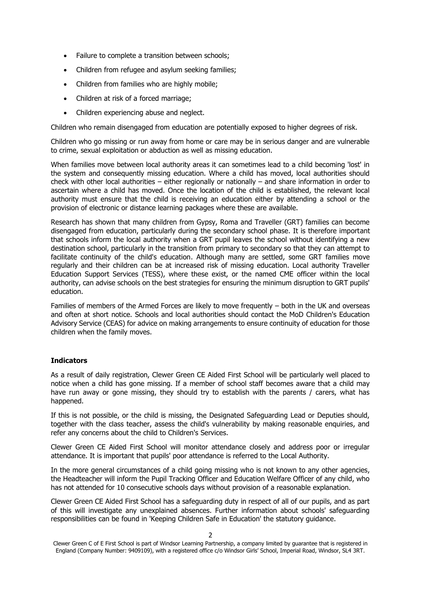- Failure to complete a transition between schools;
- Children from refugee and asylum seeking families;
- Children from families who are highly mobile;
- Children at risk of a forced marriage;
- Children experiencing abuse and neglect.

Children who remain disengaged from education are potentially exposed to higher degrees of risk.

Children who go missing or run away from home or care may be in serious danger and are vulnerable to crime, sexual exploitation or abduction as well as missing education.

When families move between local authority areas it can sometimes lead to a child becoming 'lost' in the system and consequently missing education. Where a child has moved, local authorities should check with other local authorities – either regionally or nationally – and share information in order to ascertain where a child has moved. Once the location of the child is established, the relevant local authority must ensure that the child is receiving an education either by attending a school or the provision of electronic or distance learning packages where these are available.

Research has shown that many children from Gypsy, Roma and Traveller (GRT) families can become disengaged from education, particularly during the secondary school phase. It is therefore important that schools inform the local authority when a GRT pupil leaves the school without identifying a new destination school, particularly in the transition from primary to secondary so that they can attempt to facilitate continuity of the child's education. Although many are settled, some GRT families move regularly and their children can be at increased risk of missing education. Local authority Traveller Education Support Services (TESS), where these exist, or the named CME officer within the local authority, can advise schools on the best strategies for ensuring the minimum disruption to GRT pupils' education.

Families of members of the Armed Forces are likely to move frequently – both in the UK and overseas and often at short notice. Schools and local authorities should contact the MoD Children's Education Advisory Service (CEAS) for advice on making arrangements to ensure continuity of education for those children when the family moves.

#### **Indicators**

As a result of daily registration, Clewer Green CE Aided First School will be particularly well placed to notice when a child has gone missing. If a member of school staff becomes aware that a child may have run away or gone missing, they should try to establish with the parents / carers, what has happened.

If this is not possible, or the child is missing, the Designated Safeguarding Lead or Deputies should, together with the class teacher, assess the child's vulnerability by making reasonable enquiries, and refer any concerns about the child to Children's Services.

Clewer Green CE Aided First School will monitor attendance closely and address poor or irregular attendance. It is important that pupils' poor attendance is referred to the Local Authority.

In the more general circumstances of a child going missing who is not known to any other agencies, the Headteacher will inform the Pupil Tracking Officer and Education Welfare Officer of any child, who has not attended for 10 consecutive schools days without provision of a reasonable explanation.

Clewer Green CE Aided First School has a safeguarding duty in respect of all of our pupils, and as part of this will investigate any unexplained absences. Further information about schools' safeguarding responsibilities can be found in 'Keeping Children Safe in Education' the statutory guidance.

Clewer Green C of E First School is part of Windsor Learning Partnership, a company limited by guarantee that is registered in England (Company Number: 9409109), with a registered office c/o Windsor Girls' School, Imperial Road, Windsor, SL4 3RT.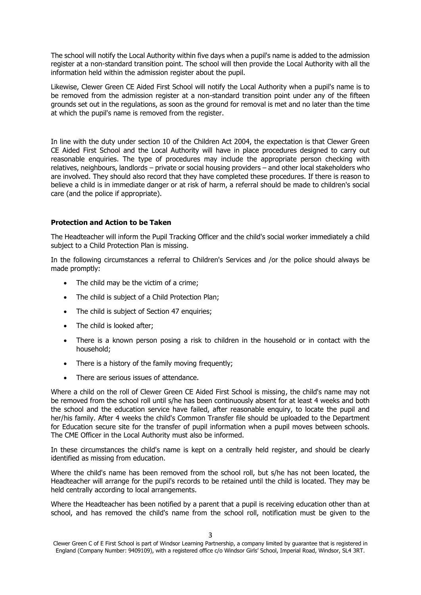The school will notify the Local Authority within five days when a pupil's name is added to the admission register at a non-standard transition point. The school will then provide the Local Authority with all the information held within the admission register about the pupil.

Likewise, Clewer Green CE Aided First School will notify the Local Authority when a pupil's name is to be removed from the admission register at a non-standard transition point under any of the fifteen grounds set out in the regulations, as soon as the ground for removal is met and no later than the time at which the pupil's name is removed from the register.

In line with the duty under section 10 of the Children Act 2004, the expectation is that Clewer Green CE Aided First School and the Local Authority will have in place procedures designed to carry out reasonable enquiries. The type of procedures may include the appropriate person checking with relatives, neighbours, landlords – private or social housing providers – and other local stakeholders who are involved. They should also record that they have completed these procedures. If there is reason to believe a child is in immediate danger or at risk of harm, a referral should be made to children's social care (and the police if appropriate).

#### **Protection and Action to be Taken**

The Headteacher will inform the Pupil Tracking Officer and the child's social worker immediately a child subject to a Child Protection Plan is missing.

In the following circumstances a referral to Children's Services and /or the police should always be made promptly:

- The child may be the victim of a crime;
- The child is subject of a Child Protection Plan;
- The child is subject of Section 47 enquiries;
- The child is looked after;
- There is a known person posing a risk to children in the household or in contact with the household;
- There is a history of the family moving frequently:
- There are serious issues of attendance

Where a child on the roll of Clewer Green CE Aided First School is missing, the child's name may not be removed from the school roll until s/he has been continuously absent for at least 4 weeks and both the school and the education service have failed, after reasonable enquiry, to locate the pupil and her/his family. After 4 weeks the child's Common Transfer file should be uploaded to the Department for Education secure site for the transfer of pupil information when a pupil moves between schools. The CME Officer in the Local Authority must also be informed.

In these circumstances the child's name is kept on a centrally held register, and should be clearly identified as missing from education.

Where the child's name has been removed from the school roll, but s/he has not been located, the Headteacher will arrange for the pupil's records to be retained until the child is located. They may be held centrally according to local arrangements.

Where the Headteacher has been notified by a parent that a pupil is receiving education other than at school, and has removed the child's name from the school roll, notification must be given to the

Clewer Green C of E First School is part of Windsor Learning Partnership, a company limited by guarantee that is registered in England (Company Number: 9409109), with a registered office c/o Windsor Girls' School, Imperial Road, Windsor, SL4 3RT.